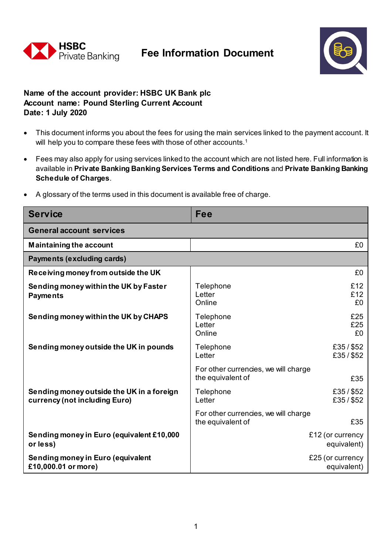



## **Name of the account provider: HSBC UK Bank plc Account name: Pound Sterling Current Account Date: 1 July 2020**

- This document informs you about the fees for using the main services linked to the payment account. It will help you to compare these fees with those of other accounts.<sup>1</sup>
- Fees may also apply for using services linked to the account which are not listed here. Full information is available in **Private Banking Banking Services Terms and Conditions** and **Private Banking Banking Schedule of Charges**.
- A glossary of the terms used in this document is available free of charge.

| <b>Service</b>                                                             | Fee                                                              |
|----------------------------------------------------------------------------|------------------------------------------------------------------|
| <b>General account services</b>                                            |                                                                  |
| <b>Maintaining the account</b>                                             | £0                                                               |
| Payments (excluding cards)                                                 |                                                                  |
| Receiving money from outside the UK                                        | £0                                                               |
| Sending money within the UK by Faster<br><b>Payments</b>                   | £12<br>Telephone<br>£12<br>Letter<br>£0<br>Online                |
| Sending money within the UK by CHAPS                                       | £25<br>Telephone<br>£25<br>Letter<br>Online<br>£0                |
| Sending money outside the UK in pounds                                     | £35/\$52<br>Telephone<br>£35/\$52<br>Letter                      |
|                                                                            | For other currencies, we will charge<br>the equivalent of<br>£35 |
| Sending money outside the UK in a foreign<br>currency (not including Euro) | £35/\$52<br>Telephone<br>£35/\$52<br>Letter                      |
|                                                                            | For other currencies, we will charge<br>£35<br>the equivalent of |
| Sending money in Euro (equivalent £10,000<br>or less)                      | £12 (or currency<br>equivalent)                                  |
| Sending money in Euro (equivalent<br>£10,000.01 or more)                   | £25 (or currency<br>equivalent)                                  |